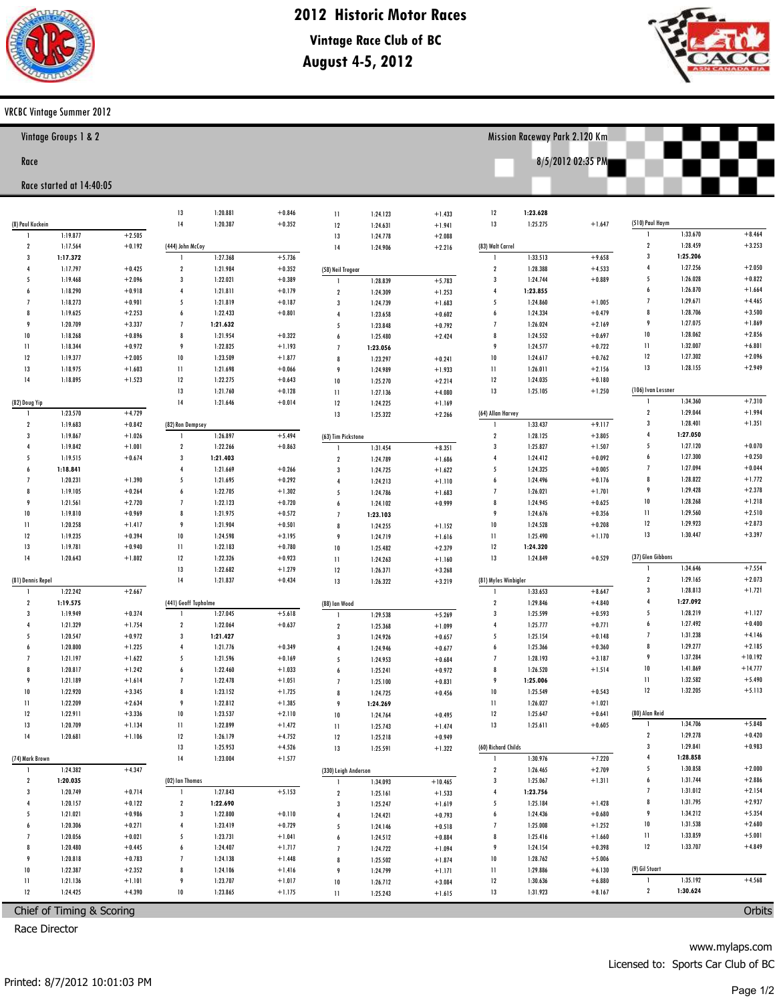

# 2012 Historic Motor Races

**Vintage Race Club of BC** August 4-5, 2012



Mission Raceway Park 2.120 Km

8/5/2012 02:35 PM

## VRCBC Vintage Summer 2012

| Vintage Groups 1 & 2 |  |  |
|----------------------|--|--|
|                      |  |  |

#### Race

## Race started at 14:40:05

|                           |                      |                      | 13                                                                                           | 1:20.881             | $+0.846$             | $\mathbf{1}$            | 1:24.123             | $+1.433$             | 12                      | 1:23.628             |                      |                     |                      |                      |
|---------------------------|----------------------|----------------------|----------------------------------------------------------------------------------------------|----------------------|----------------------|-------------------------|----------------------|----------------------|-------------------------|----------------------|----------------------|---------------------|----------------------|----------------------|
| (8) Paul Kuckein          |                      |                      | 14                                                                                           | 1:20.387             | $+0.352$             | 12                      | 1:24.631             | $+1.941$             | 13                      | 1:25.275             | $+1.647$             | (510) Paul Haym     |                      |                      |
| -1                        | 1:19.877             | $+2.505$             |                                                                                              |                      |                      | 13                      | 1:24.778             | $+2.088$             |                         |                      |                      | 1                   | 1:33.670             | $+8.464$             |
| $\overline{2}$            | 1:17.564             | $+0.192$             | (444) John McCoy                                                                             |                      |                      | 14                      | 1:24.906             | $+2.216$             | (83) Walt Carrel        |                      |                      | $\mathbf{2}$        | 1:28.459             | $+3.253$             |
| $\overline{3}$            | 1:17.372             |                      | $\mathbf{I}$                                                                                 | 1:27.368             | $+5.736$             |                         |                      |                      | $\mathbf{I}$            | 1:33.513             | $+9.658$             | $\mathbf{3}$        | 1:25.206             |                      |
| $\overline{4}$            | 1:17.797             | $+0.425$             | $\overline{\mathbf{2}}$                                                                      | 1:21.984             | $+0.352$             | (58) Neil Tregear       |                      |                      | $\mathbf{2}$            | 1:28.388             | $+4.533$             | $\overline{4}$      | 1:27.256             | $+2.050$             |
| 5                         | 1:19.468             | $+2.096$             | $\overline{\mathbf{3}}$                                                                      | 1:22.021             | $+0.389$             | $\mathbf{1}$            | 1:28.839             | $+5.783$             | $\overline{3}$          | 1:24.744             | $+0.889$             | 5                   | 1:26.028             | $+0.822$             |
| 6                         | 1:18.290             | $+0.918$             | $\overline{4}$                                                                               | 1:21.811             | $+0.179$             | $\overline{2}$          | 1:24.309             | $+1.253$             | $\overline{4}$          | 1:23.855             |                      | 6                   | 1:26.870             | $+1.664$             |
| $\overline{7}$            | 1:18.273             | $+0.901$             | 5                                                                                            | 1:21.819             | $+0.187$             | $\overline{\mathbf{3}}$ | 1:24.739             | $+1.683$             | 5                       | 1:24.860             | $+1.005$             | $\overline{1}$      | 1:29.671             | $+4.465$             |
| 8                         | 1:19.625             | $+2.253$             | $\overline{6}$                                                                               | 1:22.433             | $+0.801$             | $\overline{4}$          | 1:23.658             | $+0.602$             | 6                       | 1:24.334             | $+0.479$             | 8                   | 1:28.706             | $+3.500$             |
| $\mathbf{q}$              | 1:20.709             | $+3.337$             | $\overline{1}$                                                                               | 1:21.632             |                      | 5                       | 1:23.848             | $+0.792$             | $\overline{1}$          | 1:26.024             | $+2.169$             | 9<br>10             | 1:27.075             | $+1.869$<br>$+2.856$ |
| 10                        | 1:18.268             | $+0.896$             | 8                                                                                            | 1:21.954             | $+0.322$             | $\overline{6}$          | 1:25.480             | $+2.424$             | 8                       | 1:24.552             | $+0.697$             |                     | 1:28.062             | $+6.801$             |
| $\mathbf{1}$              | 1:18.344             | $+0.972$             | 9                                                                                            | 1:22.825             | $+1.193$             | $\overline{1}$          | 1:23.056             |                      | 9                       | 1:24.577             | $+0.722$             | $\mathbf{11}$<br>12 | 1:32.007<br>1:27.302 | $+2.096$             |
| 12                        | 1:19.377             | $+2.005$             | 10                                                                                           | 1:23.509             | $+1.877$             | 8                       | 1:23.297             | $+0.241$             | 10                      | 1:24.617             | $+0.762$             | 13                  | 1:28.155             | $+2.949$             |
| 13<br>14                  | 1:18.975             | $+1.603$             | $\mathbf{11}$<br>12                                                                          | 1:21.698<br>1:22.275 | $+0.066$             | 9                       | 1:24.989             | $+1.933$             | $\mathbf{1}$<br>12      | 1:26.011             | $+2.156$<br>$+0.180$ |                     |                      |                      |
|                           | 1:18.895             | $+1.523$             | 13                                                                                           |                      | $+0.643$<br>$+0.128$ | $10\,$                  | 1:25.270             | $+2.214$             | 13                      | 1:24.035             |                      | (106) Ivan Lessner  |                      |                      |
| (82) Doug Yip             |                      |                      | 14                                                                                           | 1:21.760<br>1:21.646 | $+0.014$             | $\mathbf{11}$           | 1:27.136             | $+4.080$             |                         | 1:25.105             | $+1.250$             | 1                   | 1:34.360             | $+7.310$             |
| $\mathbf{1}$              | 1:23.570             | $+4.729$             |                                                                                              |                      |                      | 12<br>13                | 1:24.225             | $+1.169$             | (64) Allan Harvey       |                      |                      | $\mathbf{2}$        | 1:29.044             | $+1.994$             |
| $\overline{2}$            | 1:19.683             | $+0.842$             | (82) Ron Dempsey                                                                             |                      |                      |                         | 1:25.322             | $+2.266$             | $\mathbf{1}$            | 1:33.437             | $+9.117$             | $\mathbf{3}$        | 1:28.401             | $+1.351$             |
| $\overline{3}$            | 1:19.867             | $+1.026$             | $\mathbf{1}$                                                                                 | 1:26.897             | $+5.494$             | (63) Tim Pickstone      |                      |                      | $\overline{\mathbf{2}}$ | 1:28.125             | $+3.805$             | $\overline{4}$      | 1:27.050             |                      |
| $\overline{4}$            | 1:19.842             | $+1.001$             | $\overline{\mathbf{2}}$                                                                      | 1:22.266             | $+0.863$             | $\mathbf{1}$            | 1:31.454             | $+8.351$             | $\overline{\mathbf{3}}$ | 1:25.827             | $+1.507$             | 5                   | 1:27.120             | $+0.070$             |
| 5                         | 1:19.515             | $+0.674$             | $\overline{\mathbf{3}}$                                                                      | 1:21.403             |                      | $\boldsymbol{2}$        | 1:24.789             | $+1.686$             | $\overline{4}$          | 1:24.412             | $+0.092$             | 6                   | 1:27.300             | $+0.250$             |
| 6                         | 1:18.841             |                      | $\overline{4}$                                                                               | 1:21.669             | $+0.266$             | $\overline{\mathbf{3}}$ | 1:24.725             | $+1.622$             | 5                       | 1:24.325             | $+0.005$             | $\overline{1}$      | 1:27.094             | $+0.044$             |
| $\overline{7}$            | 1:20.231             | $+1.390$             | 5                                                                                            | 1:21.695             | $+0.292$             | $\overline{4}$          | 1:24.213             | $+1.110$             | 6                       | 1:24.496             | $+0.176$             | 8                   | 1:28.822             | $+1.772$             |
| $\boldsymbol{\mathsf{R}}$ | 1:19.105             | $+0.264$             | 6                                                                                            | 1:22.705             | $+1.302$             | 5                       | 1:24.786             | $+1.683$             | $\overline{1}$          | 1:26.021             | $+1.701$             | 9                   | 1:29.428             | $+2.378$             |
| 9                         | 1:21.561             | $+2.720$             | $\overline{1}$                                                                               | 1:22.123             | $+0.720$             | $\boldsymbol{6}$        | 1:24.102             | $+0.999$             | 8                       | 1:24.945             | $+0.625$             | 10                  | 1:28.268             | $+1.218$             |
| 10                        | 1:19.810             | $+0.969$             | 8                                                                                            | 1:21.975             | $+0.572$             | $\overline{1}$          | 1:23.103             |                      | 9                       | 1:24.676             | $+0.356$             | $\mathbf{11}$       | 1:29.560             | $+2.510$             |
| $\mathbf{1}$              | 1:20.258             | $+1.417$             | 9                                                                                            | 1:21.904             | $+0.501$             | 8                       | 1:24.255             | $+1.152$             | 10                      | 1:24.528             | $+0.208$             | 12                  | 1:29.923             | $+2.873$             |
| 12                        | 1:19.235             | $+0.394$             | 10                                                                                           | 1:24.598             | $+3.195$             | 9                       | 1:24.719             | $+1.616$             | $\mathbf{1}$            | 1:25.490             | $+1.170$             | 13                  | 1:30.447             | $+3.397$             |
| 13                        | 1:19.781             | $+0.940$             | $\mathbf{1}$                                                                                 | 1:22.183             | $+0.780$             | $10\,$                  | 1:25.482             | $+2.379$             | 12                      | 1:24.320             |                      |                     |                      |                      |
| 14                        | 1:20.643             | $+1.802$             | 12                                                                                           | 1:22.326             | $+0.923$             | $\mathbf{11}$           | 1:24.263             | $+1.160$             | 13                      | 1:24.849             | $+0.529$             | (37) Glen Gibbons   |                      |                      |
|                           |                      |                      | 13                                                                                           | 1:22.682             | $+1.279$             | 12                      | 1:26.371             | $+3.268$             |                         |                      |                      | $\mathbf{1}$        | 1:34.646             | $+7.554$             |
| (81) Dennis Repel         |                      |                      | 14                                                                                           | 1:21.837             | $+0.434$             | 13                      | 1:26.322             | $+3.219$             | (81) Myles Winbigler    |                      |                      | $\mathbf{2}$        | 1:29.165             | $+2.073$             |
| -1                        | 1:22.242             | $+2.667$             |                                                                                              |                      |                      |                         |                      |                      | $\mathbf{I}$            | 1:33.653             | $+8.647$             | $\mathbf{3}$        | 1:28.813             | $+1.721$             |
| $\overline{\mathbf{2}}$   | 1:19.575             |                      | (441) Geoff Tupholme                                                                         |                      |                      | (88) Ian Wood           |                      |                      | $\overline{\mathbf{2}}$ | 1:29.846             | $+4.840$             | $\overline{4}$      | 1:27.092             |                      |
| $\overline{3}$            | 1:19.949             | $+0.374$             | -1                                                                                           | 1:27.045             | $+5.618$             |                         | 1:29.538             | $+5.269$             | $\overline{\mathbf{3}}$ | 1:25.599             | $+0.593$             | 5                   | 1:28.219             | $+1.127$             |
| $\overline{4}$            | 1:21.329             | $+1.754$             | $\overline{\mathbf{2}}$                                                                      | 1:22.064             | $+0.637$             | $\boldsymbol{2}$        | 1:25.368             | $+1.099$             | $\overline{4}$          | 1:25.777             | $+0.771$             | 6                   | 1:27.492             | $+0.400$             |
| 5                         | 1:20.547             | $+0.972$             | $\overline{\mathbf{3}}$                                                                      | 1:21.427             |                      | $\overline{3}$          | 1:24.926             | $+0.657$             | 5                       | 1:25.154             | $+0.148$             | $\overline{1}$      | 1:31.238             | $+4.146$             |
| 6                         | 1:20.800             | $+1.225$             | $\overline{4}$                                                                               | 1:21.776             | $+0.349$             | $\overline{4}$          | 1:24.946             | $+0.677$             | 6                       | 1:25.366             | $+0.360$             | 8                   | 1:29.277             | $+2.185$             |
| $\overline{7}$            | 1:21.197             | $+1.622$             | 5                                                                                            | 1:21.596             | $+0.169$             | 5                       | 1:24.953             | $+0.684$             | $\overline{1}$          | 1:28.193             | $+3.187$             | 9                   | 1:37.284             | $+10.192$            |
| $\boldsymbol{\mathsf{R}}$ | 1:20.817             | $+1.242$             | $\overline{6}$                                                                               | 1:22.460             | $+1.033$             | $\boldsymbol{6}$        | 1:25.241             | $+0.972$             | 8                       | 1:26.520             | $+1.514$             | 10                  | 1:41.869             | $+14.777$            |
| 9                         | 1:21.189             | $+1.614$             | $\overline{1}$                                                                               | 1:22.478             | $+1.051$             | $\overline{1}$          | 1:25.100             | $+0.831$             | 9                       | 1:25.006             |                      | $\mathbf{11}$<br>12 | 1:32.582<br>1:32.205 | $+5.490$<br>$+5.113$ |
| 10                        | 1:22.920             | $+3.345$             | 8                                                                                            | 1:23.152             | $+1.725$             | 8                       | 1:24.725             | $+0.456$             | 10                      | 1:25.549             | $+0.543$             |                     |                      |                      |
| $\mathbf{11}$<br>12       | 1:22.209<br>1:22.911 | $+2.634$<br>$+3.336$ | 9<br>10                                                                                      | 1:22.812<br>1:23.537 | $+1.385$<br>$+2.110$ | 9                       | 1:24.269             |                      | $\mathbf{1}$<br>12      | 1:26.027<br>1:25.647 | $+1.021$<br>$+0.641$ | (80) Alan Reid      |                      |                      |
| 13                        | 1:20.709             | $+1.134$             | $\begin{array}{c} \n \textcolor{red}{\textbf{1}} \textcolor{red}{\textbf{1}} \n \end{array}$ | 1:22.899             | $+1.472$             | $10\,$                  | 1:24.764             | $+0.495$             | 13                      | 1:25.611             | $+0.605$             | $\mathbf{1}$        | 1:34.706             | $+5.848$             |
| 14                        | 1:20.681             | $+1.106$             | 12                                                                                           | 1:26.179             | $+4.752$             | $\mathbf{1}$<br>12      | 1:25.743             | $+1.474$             |                         |                      |                      | $\mathbf{2}$        | 1:29.278             | $+0.420$             |
|                           |                      |                      | 13                                                                                           | 1:25.953             | $+4.526$             | 13                      | 1:25.218<br>1:25.591 | $+0.949$<br>$+1.322$ | (60) Richard Childs     |                      |                      | $\mathbf{3}$        | 1:29.841             | $+0.983$             |
| (74) Mark Brown           |                      |                      | 14                                                                                           | 1:23.004             | $+1.577$             |                         |                      |                      | 1                       | 1:30.976             | $+7.220$             | $\overline{4}$      | 1:28.858             |                      |
| $\mathbf{1}$              | 1:24.382             | $+4.347$             |                                                                                              |                      |                      | (330) Leigh Anderson    |                      |                      | $\overline{\mathbf{r}}$ | 1:26.465             | $+2.709$             | 5                   | 1:30.858             | $+2.000$             |
| $\mathbf{2}$              | 1:20.035             |                      | (02) Ian Thomas                                                                              |                      |                      | $\mathbf{I}$            | 1:34.093             | $+10.465$            | $\mathbf{3}$            | 1:25.067             | $+1.311$             | 6                   | 1:31.744             | $+2.886$             |
| $\overline{3}$            | 1:20.749             | $+0.714$             | $\mathbf{1}$                                                                                 | 1:27.843             | $+5.153$             | $\boldsymbol{2}$        | 1:25.161             | $+1.533$             | $\overline{4}$          | 1:23.756             |                      | $\overline{1}$      | 1:31.012             | $+2.154$             |
|                           | 1:20.157             | $+0.122$             | $\sqrt{2}$                                                                                   | 1:22.690             |                      | $\mathbf{3}$            | 1:25.247             | $+1.619$             | 5                       | 1:25.184             | $+1.428$             | 8                   | 1:31.795             | $+2.937$             |
| 5                         | 1:21.021             | $+0.986$             | $\mathbf{3}$                                                                                 | 1:22.800             | $+0.110$             | $\overline{4}$          | 1:24.421             | $+0.793$             | 6                       | 1:24.436             | $+0.680$             | 9                   | 1:34.212             | $+5.354$             |
|                           | 1:20.306             | $+0.271$             | $\overline{4}$                                                                               | 1:23.419             | $+0.729$             | 5                       | 1:24.146             | $+0.518$             | $\overline{1}$          | 1:25.008             | $+1.252$             | 10                  | 1:31.538             | $+2.680$             |
|                           | 1:20.056             | $+0.021$             | 5                                                                                            | 1:23.731             | $+1.041$             | $\boldsymbol{6}$        | 1:24.512             | $+0.884$             | 8                       | 1:25.416             | $+1.660$             | П                   | 1:33.859             | $+5.001$             |
|                           | 1:20.480             | $+0.445$             | 6                                                                                            | 1:24.407             | $+1.717$             | $\overline{1}$          | 1:24.722             | $+1.094$             | 9                       | 1:24.154             | $+0.398$             | 12                  | 1:33.707             | $+4.849$             |
| 9                         | 1:20.818             | $+0.783$             | $\overline{1}$                                                                               | 1:24.138             | $+1.448$             | 8                       | 1:25.502             | $+1.874$             | 10                      | 1:28.762             | $+5.006$             |                     |                      |                      |
| 10                        | 1:22.387             | $+2.352$             | 8                                                                                            | 1:24.106             | $+1.416$             | 9                       | 1:24.799             | $+1.171$             | П                       | 1:29.886             | $+6.130$             | (9) Gil Stuart      |                      |                      |
|                           | 1:21.136             | $+1.101$             | 9                                                                                            | 1:23.707             | $+1.017$             | $\bf 10$                | 1:26.712             | $+3.084$             | 12                      | 1:30.636             | $+6.880$             | $\mathbf{I}$        | 1:35.192             | $+4.568$             |
| $\mathbf{11}$             |                      |                      |                                                                                              |                      |                      |                         |                      |                      |                         |                      |                      |                     |                      |                      |
| 12                        | 1:24.425             | $+4.390$             | 10                                                                                           | 1:23.865             | $+1.175$             | П                       | 1:25.243             | $+1.615$             | 13                      | 1:31.923             | $+8.167$             | $\mathbf{2}$        | 1:30.624             |                      |

Chief of Timing & Scoring

Race Director

www.mylaps.com

Licensed to: Sports Car Club of BC